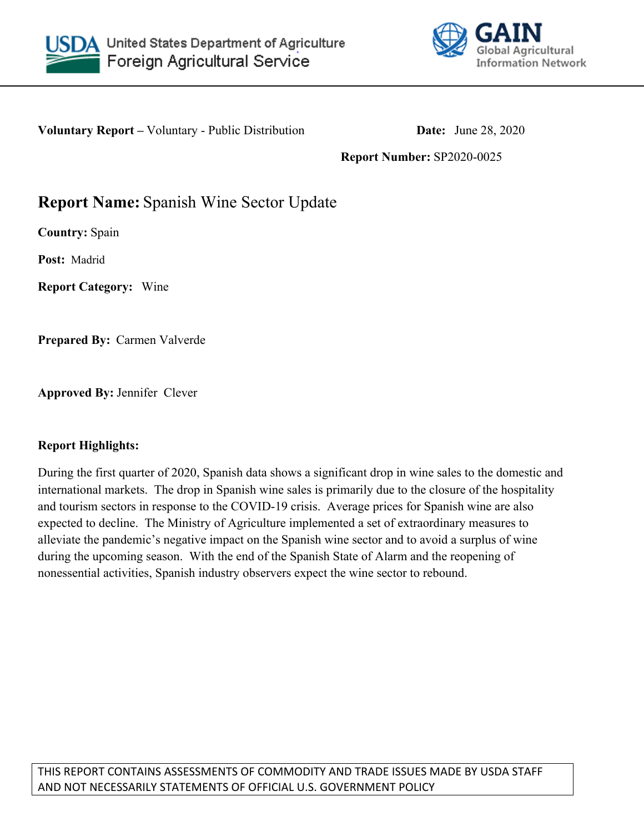



**Voluntary Report** – Voluntary - Public Distribution **Date:** June 28, 2020

### **Report Number:** SP2020-0025

# **Report Name:** Spanish Wine Sector Update

**Country:** Spain

**Post:** Madrid

**Report Category:** Wine

**Prepared By:** Carmen Valverde

**Approved By:** Jennifer Clever

#### **Report Highlights:**

During the first quarter of 2020, Spanish data shows a significant drop in wine sales to the domestic and international markets. The drop in Spanish wine sales is primarily due to the closure of the hospitality and tourism sectors in response to the COVID-19 crisis. Average prices for Spanish wine are also expected to decline. The Ministry of Agriculture implemented a set of extraordinary measures to alleviate the pandemic's negative impact on the Spanish wine sector and to avoid a surplus of wine during the upcoming season. With the end of the Spanish State of Alarm and the reopening of nonessential activities, Spanish industry observers expect the wine sector to rebound.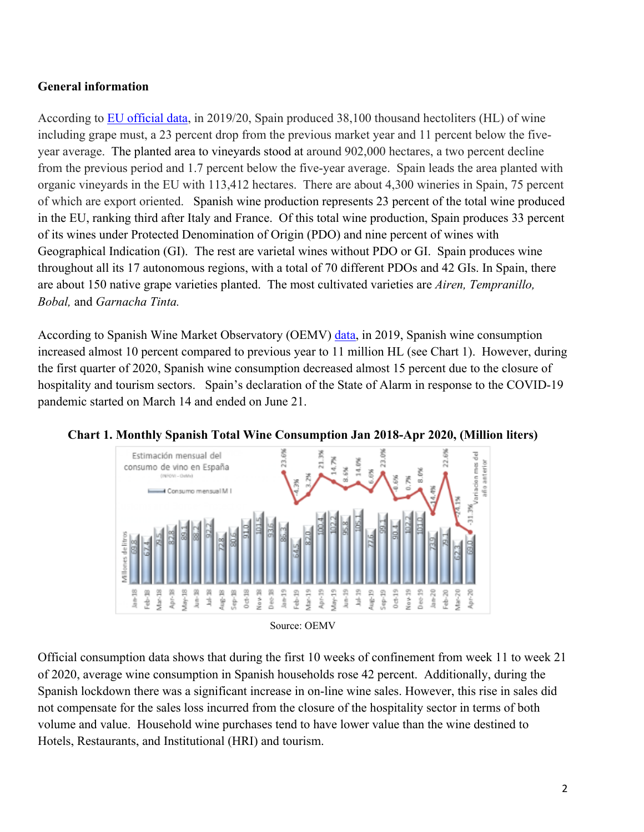# **General information**

According to [EU official data,](https://ec.europa.eu/info/sites/info/files/food-farming-fisheries/farming/documents/wine-harvest-forecast-2019-2020_en.pdf) in 2019/20, Spain produced 38,100 thousand hectoliters (HL) of wine including grape must, a 23 percent drop from the previous market year and 11 percent below the fiveyear average. The planted area to vineyards stood at around 902,000 hectares, a two percent decline from the previous period and 1.7 percent below the five-year average. Spain leads the area planted with organic vineyards in the EU with 113,412 hectares. There are about 4,300 wineries in Spain, 75 percent of which are export oriented. Spanish wine production represents 23 percent of the total wine produced in the EU, ranking third after Italy and France. Of this total wine production, Spain produces 33 percent of its wines under Protected Denomination of Origin (PDO) and nine percent of wines with Geographical Indication (GI). The rest are varietal wines without PDO or GI. Spain produces wine throughout all its 17 autonomous regions, with a total of 70 different PDOs and 42 GIs. In Spain, there are about 150 native grape varieties planted. The most cultivated varieties are *Airen, Tempranillo, Bobal,* and *Garnacha Tinta.*

According to Spanish Wine Market Observatory (OEMV) [data](https://oemv.es/lo-que-de-verdad-sabemos-del-efecto-de-la-covid19-sobre-el-sector-del-vino), in 2019, Spanish wine consumption increased almost 10 percent compared to previous year to 11 million HL (see Chart 1). However, during the first quarter of 2020, Spanish wine consumption decreased almost 15 percent due to the closure of hospitality and tourism sectors. Spain's declaration of the State of Alarm in response to the COVID-19 pandemic started on March 14 and ended on June 21.



**Chart 1. Monthly Spanish Total Wine Consumption Jan 2018-Apr 2020, (Million liters)**

Official consumption data shows that during the first 10 weeks of confinement from week 11 to week 21 of 2020, average wine consumption in Spanish households rose 42 percent. Additionally, during the Spanish lockdown there was a significant increase in on-line wine sales. However, this rise in sales did not compensate for the sales loss incurred from the closure of the hospitality sector in terms of both volume and value. Household wine purchases tend to have lower value than the wine destined to Hotels, Restaurants, and Institutional (HRI) and tourism.

Source: OEMV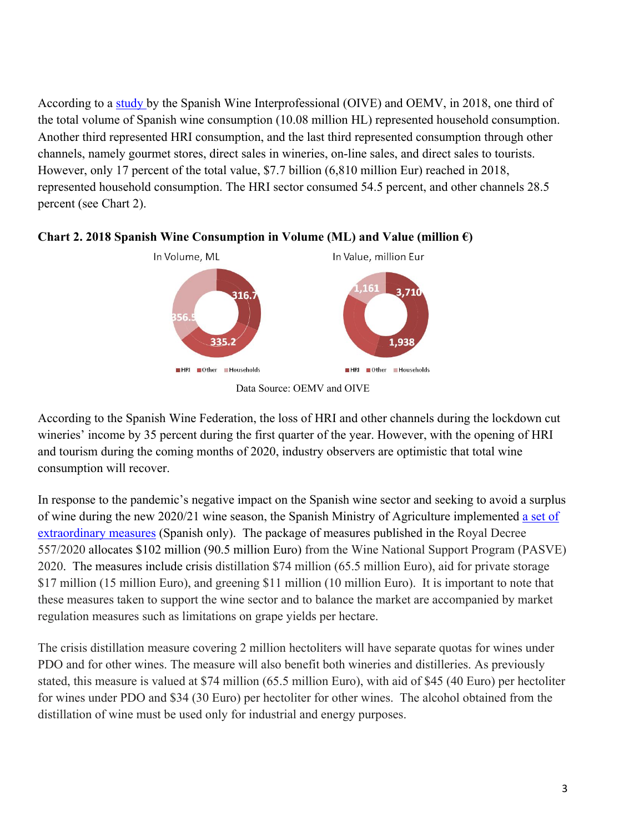According to a [study](https://www.interprofesionaldelvino.es/publicaciones-estudios/radiograf%C3%ADa-sobre-el-consumo-de-vino/) by the Spanish Wine Interprofessional (OIVE) and OEMV, in 2018, one third of the total volume of Spanish wine consumption (10.08 million HL) represented household consumption. Another third represented HRI consumption, and the last third represented consumption through other channels, namely gourmet stores, direct sales in wineries, on-line sales, and direct sales to tourists. However, only 17 percent of the total value, \$7.7 billion (6,810 million Eur) reached in 2018, represented household consumption. The HRI sector consumed 54.5 percent, and other channels 28.5 percent (see Chart 2).



#### **Chart 2. 2018 Spanish Wine Consumption in Volume (ML) and Value (million €)**

According to the Spanish Wine Federation, the loss of HRI and other channels during the lockdown cut wineries' income by 35 percent during the first quarter of the year. However, with the opening of HRI and tourism during the coming months of 2020, industry observers are optimistic that total wine consumption will recover.

In response to the pandemic's negative impact on the Spanish wine sector and seeking to avoid a surplus of wine during the new 2020/21 wine season, the Spanish Ministry of Agriculture implemented [a set of](https://www.mapa.gob.es/es/prensa/ultimas-noticias/el-gobierno-aprueba-medidas-extraordinarias-por-90-millones-de-euros-para-paliar-los-efectos-de-covid-19-en-el-sector-vitivin%C3%ADcola/tcm:30-539652)  [extraordinary measures](https://www.mapa.gob.es/es/prensa/ultimas-noticias/el-gobierno-aprueba-medidas-extraordinarias-por-90-millones-de-euros-para-paliar-los-efectos-de-covid-19-en-el-sector-vitivin%C3%ADcola/tcm:30-539652) (Spanish only). The package of measures published in the Royal Decree 557/2020 allocates \$102 million (90.5 million Euro) from the Wine National Support Program (PASVE) 2020. The measures include crisis distillation \$74 million (65.5 million Euro), aid for private storage \$17 million (15 million Euro), and greening \$11 million (10 million Euro). It is important to note that these measures taken to support the wine sector and to balance the market are accompanied by market regulation measures such as limitations on grape yields per hectare.

The crisis distillation measure covering 2 million hectoliters will have separate quotas for wines under PDO and for other wines. The measure will also benefit both wineries and distilleries. As previously stated, this measure is valued at \$74 million (65.5 million Euro), with aid of \$45 (40 Euro) per hectoliter for wines under PDO and \$34 (30 Euro) per hectoliter for other wines. The alcohol obtained from the distillation of wine must be used only for industrial and energy purposes.

Data Source: OEMV and OIVE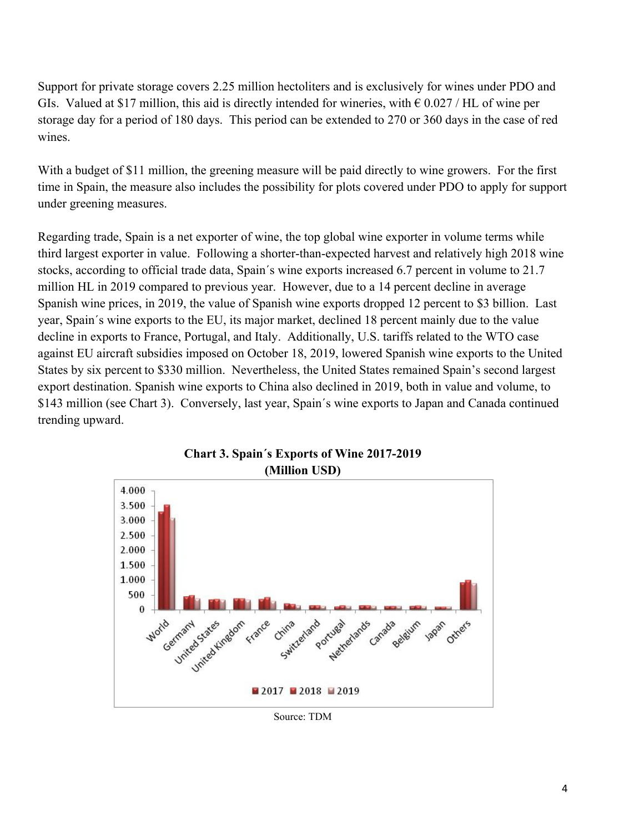Support for private storage covers 2.25 million hectoliters and is exclusively for wines under PDO and GIs. Valued at \$17 million, this aid is directly intended for wineries, with  $\epsilon$  0.027 / HL of wine per storage day for a period of 180 days. This period can be extended to 270 or 360 days in the case of red wines.

With a budget of \$11 million, the greening measure will be paid directly to wine growers. For the first time in Spain, the measure also includes the possibility for plots covered under PDO to apply for support under greening measures.

Regarding trade, Spain is a net exporter of wine, the top global wine exporter in volume terms while third largest exporter in value. Following a shorter-than-expected harvest and relatively high 2018 wine stocks, according to official trade data, Spain´s wine exports increased 6.7 percent in volume to 21.7 million HL in 2019 compared to previous year. However, due to a 14 percent decline in average Spanish wine prices, in 2019, the value of Spanish wine exports dropped 12 percent to \$3 billion. Last year, Spain´s wine exports to the EU, its major market, declined 18 percent mainly due to the value decline in exports to France, Portugal, and Italy. Additionally, U.S. tariffs related to the WTO case against EU aircraft subsidies imposed on October 18, 2019, lowered Spanish wine exports to the United States by six percent to \$330 million. Nevertheless, the United States remained Spain's second largest export destination. Spanish wine exports to China also declined in 2019, both in value and volume, to \$143 million (see Chart 3). Conversely, last year, Spain´s wine exports to Japan and Canada continued trending upward.





Source: TDM